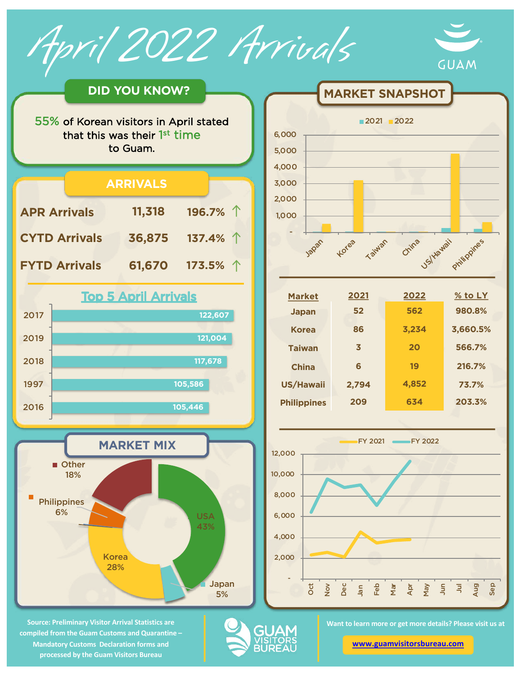April 2022 Arrivals





**Source: Preliminary Visitor Arrival Statistics are compiled from the Guam Customs and Quarantine – Mandatory Customs Declaration forms and processed by the Guam Visitors Bureau** 



| 2021  | 2022  | $%$ to LY |
|-------|-------|-----------|
| 52    | 562   | 980.8%    |
| 86    | 3,234 | 3,660.5%  |
| 3     | 20    | 566.7%    |
| 6     | 19    | 216.7%    |
| 2,794 | 4,852 | 73.7%     |
| 209   | 634   | 203.3%    |
|       |       |           |



GUA

**Want to learn more or get more details? Please visit us at** 

**[www.guamvisitorsbureau.co](https://www.guamvisitorsbureau.com/research-and-reports/research)m**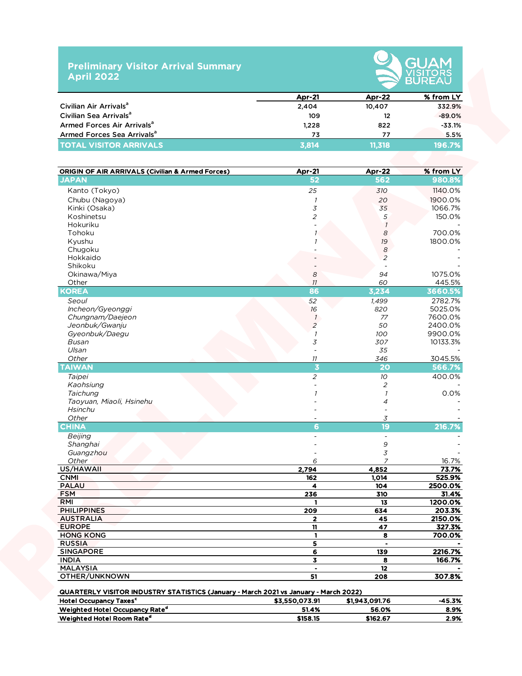## **Preliminary Visitor Arrival Summary April 2022**



|                                        | <b>Apr-21</b> | <b>Apr-22</b> | % from LY |  |  |  |
|----------------------------------------|---------------|---------------|-----------|--|--|--|
| Civilian Air Arrivals <sup>a</sup>     | 2,404         | 10.407        | 332.9%    |  |  |  |
| Civilian Sea Arrivals <sup>a</sup>     | 109           | 12            | $-89.0%$  |  |  |  |
| Armed Forces Air Arrivals <sup>a</sup> | 1.228         | 822           | $-33.1%$  |  |  |  |
| Armed Forces Sea Arrivals <sup>a</sup> | 73            | 77            | 5.5%      |  |  |  |
| <b>TOTAL VISITOR ARRIVALS</b>          | 3.814         | 11.318        | 196.7%    |  |  |  |

|                                                             | <b>Apr-21</b>           | Apr-22                     | % from LY |
|-------------------------------------------------------------|-------------------------|----------------------------|-----------|
| Civilian Air Arrivals <sup>a</sup>                          | 2,404                   | 10,407                     | 332.9%    |
| Civilian Sea Arrivals <sup>a</sup>                          | 109                     | 12                         | $-89.0%$  |
| Armed Forces Air Arrivals <sup>a</sup>                      | 1,228                   | 822                        | $-33.1%$  |
| Armed Forces Sea Arrivals <sup>a</sup>                      | 73                      | 77                         | 5.5%      |
| <b>TOTAL VISITOR ARRIVALS</b>                               | 3,814                   | 11,318                     | 196.7%    |
|                                                             |                         |                            |           |
| <b>ORIGIN OF AIR ARRIVALS (Civilian &amp; Armed Forces)</b> | <b>Apr-21</b>           | <b>Apr-22</b>              | % from LY |
| <b>JAPAN</b>                                                | 52                      | 562                        | 980.8%    |
| Kanto (Tokyo)                                               | 25                      | 310                        | 1140.0%   |
| Chubu (Nagoya)                                              | $\overline{1}$          | 20                         | 1900.0%   |
| Kinki (Osaka)                                               | 3                       | 35                         | 1066.7%   |
| Koshinetsu                                                  | $\overline{c}$          | 5                          | 150.0%    |
| Hokuriku                                                    |                         | $\overline{1}$             |           |
| Tohoku                                                      |                         | 8                          | 700.0%    |
| Kyushu                                                      |                         | $19$                       | 1800.0%   |
| Chugoku                                                     |                         | $\boldsymbol{\mathcal{S}}$ |           |
| Hokkaido                                                    |                         | $\overline{2}$             |           |
| Shikoku                                                     |                         |                            |           |
| Okinawa/Miya                                                | 8                       | 94                         | 1075.0%   |
| Other                                                       | 11                      | 60                         | 445.5%    |
| <b>KOREA</b>                                                | 86                      | 3,234                      | 3660.5%   |
| Seoul                                                       | 52                      | 1,499                      | 2782.7%   |
| Incheon/Gyeonggi                                            | 16                      | 820                        | 5025.0%   |
| Chungnam/Daejeon                                            | $\mathcal{I}$           | 77                         | 7600.0%   |
| Jeonbuk/Gwanju                                              | $\overline{c}$          | 50                         | 2400.0%   |
| Gyeonbuk/Daegu                                              | $\overline{1}$          | 100                        | 9900.0%   |
| Busan                                                       | 3                       | 307                        | 10133.3%  |
| Ulsan                                                       | $\overline{a}$          | 35                         |           |
| Other                                                       | 11                      | 346                        | 3045.5%   |
| <b>TAIWAN</b>                                               | $\overline{\mathbf{3}}$ | 20                         | 566.7%    |
| Taipei                                                      | $\overline{a}$          | 10                         | 400.0%    |
| Kaohsiung                                                   |                         | $\sqrt{2}$                 |           |
| Taichung                                                    |                         | $\overline{\phantom{a}}$   | 0.0%      |
| Taoyuan, Miaoli, Hsinehu                                    |                         | $\overline{4}$             |           |
| <b>Hsinchu</b>                                              |                         |                            |           |
| Other                                                       |                         | 3                          |           |
| <b>CHINA</b>                                                | 6                       | 19                         | 216.7%    |
| Beijing                                                     |                         | $\blacksquare$             |           |
| Shanghai                                                    |                         | 9                          |           |
| Guangzhou                                                   |                         | 3                          |           |
| Other                                                       | 6                       | $\overline{7}$             | 16.7%     |
| US/HAWAII                                                   | 2,794                   | 4,852                      | 73.7%     |
| <b>CNMI</b>                                                 | 162                     | 1,014                      | 525.9%    |
| <b>PALAU</b>                                                | $\overline{\mathbf{4}}$ | 104                        | 2500.0%   |
| <b>FSM</b>                                                  | 236                     | 310                        | 31.4%     |
| RMI                                                         |                         | 13                         | 1200.0%   |
| <b>PHILIPPINES</b>                                          | 209                     | 634                        | 203.3%    |
| <b>AUSTRALIA</b>                                            | $\mathbf{2}$            | 45                         | 2150.0%   |
| <b>EUROPE</b>                                               | $\mathbf{n}$            | 47                         | 327.3%    |
| <b>HONG KONG</b>                                            | $\mathbf{1}$            | 8                          | 700.0%    |
| <b>RUSSIA</b>                                               | 5                       |                            |           |
| <b>SINGAPORE</b>                                            | 6                       | 139                        | 2216.7%   |
| <b>INDIA</b>                                                | $\overline{\mathbf{3}}$ | 8                          | 166.7%    |
|                                                             |                         |                            |           |
| <b>MALAYSIA</b><br>OTHER/UNKNOWN                            | $\bullet$<br>51         | 12<br>208                  | 307.8%    |

Weighted Hotel Occupancy Rate<sup>d</sup> 51.4% 56.0% 8.9%  $\frac{100}{2}$  Weighted Hotel Room Rate<sup>d</sup> 2.9%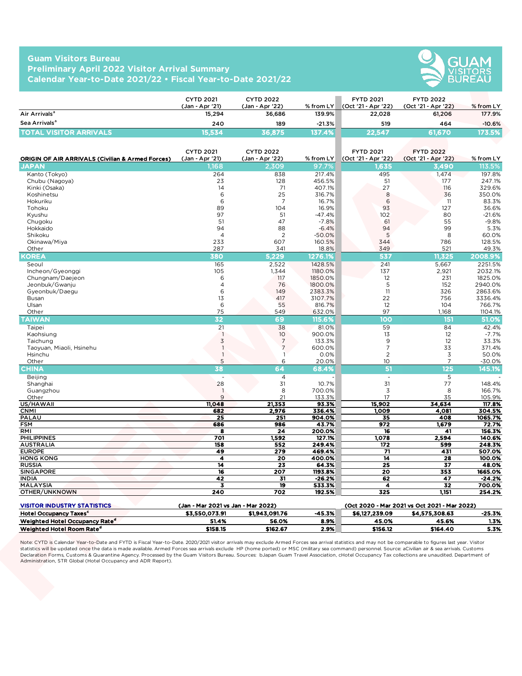## **Guam Visitors Bureau Preliminary April 2022 Visitor Arrival Summary Calendar Year-to-Date 2021/22 • Fiscal Year-to-Date 2021/22**



|                               | <b>CYTD 2021</b><br>(Jan - Apr '21) | <b>CYTD 2022</b><br>(Jan - Apr '22) | $%$ from LY | <b>FYTD 2021</b><br>(Oct '21 - Apr '22) | <b>FYTD 2022</b><br>(Oct '21 - Apr '22) | $%$ from LY |
|-------------------------------|-------------------------------------|-------------------------------------|-------------|-----------------------------------------|-----------------------------------------|-------------|
| Air Arrivals <sup>a</sup>     | 15.294                              | 36.686                              | 139.9%      | 22.028                                  | 61.206                                  | 177.9%      |
| Sea Arrivals <sup>a</sup>     | 240                                 | 189                                 | $-21.3%$    | 519                                     | 464                                     | $-10.6%$    |
| <b>TOTAL VISITOR ARRIVALS</b> | 15.534                              | 36.875                              | 137.4%      | 722.547                                 | 61,670                                  | 173.5%      |

|                                                                                | <b>CYTD 2021</b>                   | <b>CYTD 2022</b>                 |                     | <b>FYTD 2021</b>              | <b>FYTD 2022</b>                             |                     |
|--------------------------------------------------------------------------------|------------------------------------|----------------------------------|---------------------|-------------------------------|----------------------------------------------|---------------------|
| Air Arrivals <sup>a</sup>                                                      | (Jan - Apr '21)<br>15,294          | (Jan - Apr '22)<br>36,686        | % from LY<br>139.9% | (Oct '21 - Apr '22)<br>22,028 | (Oct '21 - Apr '22)<br>61,206                | % from LY<br>177.9% |
| Sea Arrivals <sup>a</sup>                                                      |                                    |                                  |                     |                               |                                              |                     |
|                                                                                | 240                                | 189                              | $-21.3%$            | 519<br>22,547                 | 464                                          | $-10.6%$            |
| <b>TOTAL VISITOR ARRIVALS</b>                                                  | 15,534                             | 36,875                           | 137.4%              |                               | 61,670                                       | 173.5%              |
|                                                                                |                                    |                                  |                     |                               |                                              |                     |
|                                                                                | <b>CYTD 2021</b>                   | <b>CYTD 2022</b>                 |                     | <b>FYTD 2021</b>              | <b>FYTD 2022</b>                             |                     |
| <b>ORIGIN OF AIR ARRIVALS (Civilian &amp; Armed Forces)</b><br>JAPAN           | (Jan - Apr '21)<br>.168            | (Jan - Apr '22)<br>2,309         | % from LY<br>97.7%  | (Oct '21 - Apr '22)<br>1,635  | (Oct '21 - Apr '22)<br>3,490                 | % from LY<br>113.5% |
| Kanto (Tokyo)                                                                  | 264                                | 838                              | 217.4%              | 495                           | 1,474                                        | 197.8%              |
| Chubu (Nagoya)                                                                 | 23                                 | 128                              | 456.5%              | 51                            | 177                                          | 247.1%              |
| Kinki (Osaka)                                                                  | 14                                 | 71                               | 407.1%              | 27                            | 116                                          | 329.6%              |
| Koshinetsu                                                                     | 6                                  | 25                               | 316.7%              | 8                             | 36                                           | 350.0%              |
| Hokuriku                                                                       | 6                                  | $\overline{7}$                   | 16.7%               | 6                             | 11                                           | 83.3%               |
| Tohoku                                                                         | 89                                 | 104                              | 16.9%               | 93                            | 127                                          | 36.6%               |
| Kyushu<br>Chugoku                                                              | 97<br>51                           | 51<br>47                         | $-47.4%$<br>$-7.8%$ | 102<br>61                     | 80<br>55                                     | $-21.6%$<br>$-9.8%$ |
| Hokkaido                                                                       | 94                                 | 88                               | $-6.4%$             | 94                            | 99                                           | 5.3%                |
| Shikoku                                                                        | $\overline{4}$                     | 2                                | $-50.0%$            | 5                             | 8                                            | 60.0%               |
| Okinawa/Miya                                                                   | 233                                | 607                              | 160.5%              | 344                           | 786                                          | 128.5%              |
| Other                                                                          | 287                                | 341                              | 18.8%               | 349                           | 521                                          | 49.3%               |
| KOREA                                                                          | 380                                | 5,229                            | 1276.1%             | 537                           | 11,325                                       | 2008.9%             |
| Seoul                                                                          | 165                                | 2,522                            | 1428.5%             | 241                           | 5,667                                        | 2251.5%             |
| Incheon/Gyeonggi                                                               | 105                                | 1,344                            | 1180.0%             | 137                           | 2,921                                        | 2032.1%             |
| Chungnam/Daejeon<br>Jeonbuk/Gwanju                                             | 6<br>$\overline{4}$                | 117<br>76                        | 1850.0%<br>1800.0%  | 12<br>5                       | 231<br>152                                   | 1825.0%<br>2940.0%  |
| Gyeonbuk/Daegu                                                                 | 6                                  | 149                              | 2383.3%             | 11                            | 326                                          | 2863.6%             |
| Busan                                                                          | 13                                 | 417                              | 3107.7%             | 22                            | 756                                          | 3336.4%             |
| Ulsan                                                                          | 6                                  | 55                               | 816.7%              | 12                            | 104                                          | 766.7%              |
| Other                                                                          | 75                                 | 549                              | 632.0%              | 97                            | 1,168                                        | 1104.1%             |
| <b>TAIWAN</b>                                                                  | 32                                 | 69                               | 115.6%              | 100                           | 151                                          | 51.0%               |
| Taipei                                                                         | 21                                 | 38                               | 81.0%               | 59                            | 84                                           | 42.4%               |
| Kaohsiung                                                                      | $\overline{\phantom{a}}$           | 10                               | 900.0%              | 13                            | 12                                           | $-7.7%$             |
| Taichung                                                                       | $\mathfrak{Z}$<br>$\overline{1}$   | $\overline{7}$<br>$\overline{7}$ | 133.3%              | 9<br>$\overline{7}$           | 12                                           | 33.3%               |
| Taoyuan, Miaoli, Hsinehu<br>Hsinchu                                            | $\overline{\phantom{a}}$           | $\mathbf{1}$                     | 600.0%<br>0.0%      | $\overline{2}$                | 33<br>3                                      | 371.4%<br>50.0%     |
| Other                                                                          | 5                                  | 6                                | 20.0%               | 10 <sup>°</sup>               | $\overline{7}$                               | $-30.0%$            |
| <b>CHINA</b>                                                                   | 38                                 | 64                               | 68.4%               | 51                            | 125                                          | 145.1%              |
| Beijing                                                                        |                                    | $\overline{4}$                   |                     | $\overline{\phantom{a}}$      | 5                                            |                     |
| Shanghai                                                                       | 28                                 | 31                               | 10.7%               | 31                            | 77                                           | 148.4%              |
| Guangzhou                                                                      | $\overline{1}$                     | 8                                | 700.0%              | 3                             | 8                                            | 166.7%              |
| Other                                                                          | 9                                  | 21                               | 133.3%              | 17                            | 35                                           | 105.9%              |
| US/HAWAII                                                                      | 11,048                             | 21,353                           | 93.3%               | 15,902                        | 34,634                                       | 117.8%              |
| <b>CNMI</b><br>PALAU                                                           | 682<br>25                          | 2,976<br>251                     | 336.4%<br>904.0%    | 1,009<br>35                   | 4,081<br>408                                 | 304.5%<br>1065.7%   |
| <b>FSM</b>                                                                     | 686                                | 986                              | 43.7%               | 972                           | 1,679                                        | 72.7%               |
| RMI                                                                            | 8                                  | 24                               | 200.0%              | 16                            | 41                                           | 156.3%              |
| <b>PHILIPPINES</b>                                                             | 701                                | 1,592                            | 127.1%              | 1,078                         | 2,594                                        | 140.6%              |
| <b>AUSTRALIA</b>                                                               | 158                                | 552                              | 249.4%              | 172                           | 599                                          | 248.3%              |
| <b>EUROPE</b>                                                                  | 49                                 | 279                              | 469.4%              | 71                            | 431                                          | 507.0%              |
| <b>HONG KONG</b><br><b>RUSSIA</b>                                              | 4<br>14                            | 20<br>23                         | 400.0%<br>64.3%     | 14<br>25                      | 28<br>37                                     | 100.0%<br>48.0%     |
| <b>SINGAPORE</b>                                                               | 16                                 | 207                              | 1193.8%             | 20                            | 353                                          | 1665.0%             |
| <b>INDIA</b>                                                                   | 42                                 | 31                               | $-26.2%$            | 62                            | 47                                           | -24.2%              |
| MALAYSIA                                                                       | 3                                  | 19                               | 533.3%              | 4                             | 32                                           | 700.0%              |
| OTHER/UNKNOWN                                                                  | 240                                | 702                              | 192.5%              | 325                           | 1,151                                        | 254.2%              |
|                                                                                |                                    |                                  |                     |                               |                                              |                     |
| <b>VISITOR INDUSTRY STATISTICS</b><br><b>Hotel Occupancy Taxes<sup>c</sup></b> | (Jan - Mar 2021 vs Jan - Mar 2022) |                                  |                     |                               | (Oct 2020 - Mar 2021 vs Oct 2021 - Mar 2022) |                     |
|                                                                                | \$3,550,073.91                     | \$1,943,091.76                   | $-45.3%$            | \$6,127,239.09                | \$4,575,308.63                               | $-25.3%$            |
| Weighted Hotel Occupancy Rate <sup>d</sup>                                     | 51.4%                              | 56.0%                            | 8.9%                | 45.0%                         | 45.6%                                        | 1.3%                |

| <b>VISITOR INDUSTRY STATISTICS</b>         | (Jan - Mar 2021 vs Jan - Mar 2022) |                |          | (Oct 2020 - Mar 2021 vs Oct 2021 - Mar 2022) |                |          |
|--------------------------------------------|------------------------------------|----------------|----------|----------------------------------------------|----------------|----------|
| <b>Hotel Occupancy Taxes<sup>c</sup></b>   | \$3.550.073.91                     | \$1,943,091.76 | $-45.3%$ | \$6,127,239.09                               | \$4.575.308.63 | $-25.3%$ |
| Weighted Hotel Occupancy Rate <sup>d</sup> | 51.4%                              | 56.0%          | 8.9%     | 45.0%                                        | 45.6%          | 1.3%     |
| Weighted Hotel Room Rate <sup>d</sup>      | \$158.15                           | \$162.67       | 2.9%     | \$156.12                                     | \$164,40       | 5.3%     |